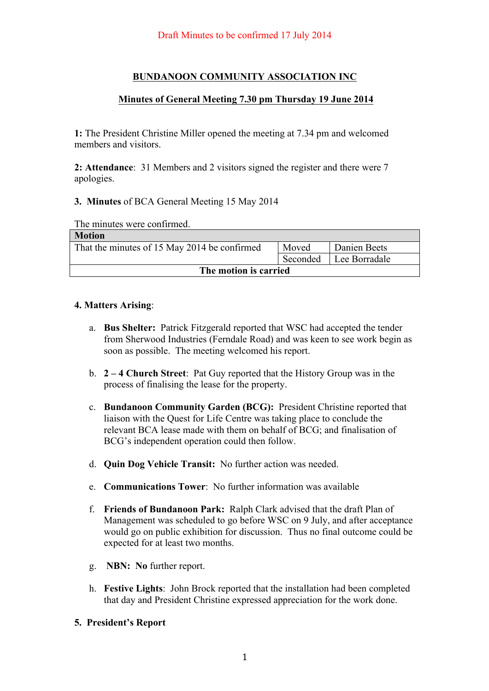# **BUNDANOON COMMUNITY ASSOCIATION INC**

## **Minutes of General Meeting 7.30 pm Thursday 19 June 2014**

**1:** The President Christine Miller opened the meeting at 7.34 pm and welcomed members and visitors.

**2: Attendance**: 31 Members and 2 visitors signed the register and there were 7 apologies.

### **3. Minutes** of BCA General Meeting 15 May 2014

The minutes were confirmed.

| <b>Motion</b>                                |          |               |  |
|----------------------------------------------|----------|---------------|--|
| That the minutes of 15 May 2014 be confirmed | Moved    | Danien Beets  |  |
|                                              | Seconded | Lee Borradale |  |
| The motion is carried                        |          |               |  |

### **4. Matters Arising**:

- a. **Bus Shelter:** Patrick Fitzgerald reported that WSC had accepted the tender from Sherwood Industries (Ferndale Road) and was keen to see work begin as soon as possible. The meeting welcomed his report.
- b. **2 – 4 Church Street**: Pat Guy reported that the History Group was in the process of finalising the lease for the property.
- c. **Bundanoon Community Garden (BCG):** President Christine reported that liaison with the Quest for Life Centre was taking place to conclude the relevant BCA lease made with them on behalf of BCG; and finalisation of BCG's independent operation could then follow.
- d. **Quin Dog Vehicle Transit:** No further action was needed.
- e. **Communications Tower**: No further information was available
- f. **Friends of Bundanoon Park:** Ralph Clark advised that the draft Plan of Management was scheduled to go before WSC on 9 July, and after acceptance would go on public exhibition for discussion. Thus no final outcome could be expected for at least two months.
- g. **NBN: No** further report.
- h. **Festive Lights**: John Brock reported that the installation had been completed that day and President Christine expressed appreciation for the work done.
- **5. President's Report**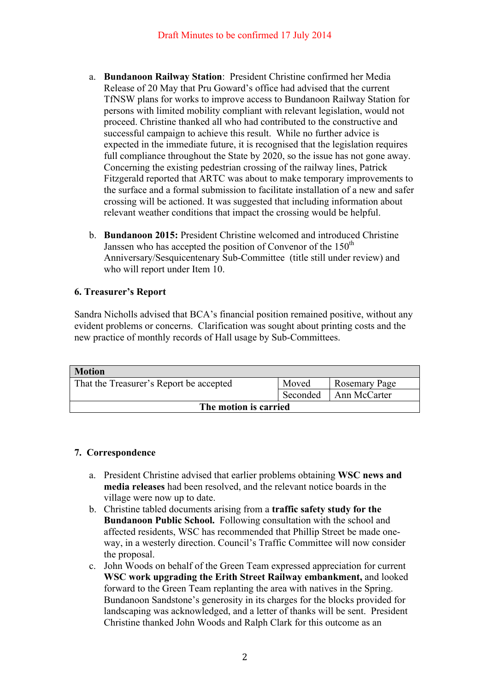- a. **Bundanoon Railway Station**: President Christine confirmed her Media Release of 20 May that Pru Goward's office had advised that the current TfNSW plans for works to improve access to Bundanoon Railway Station for persons with limited mobility compliant with relevant legislation, would not proceed. Christine thanked all who had contributed to the constructive and successful campaign to achieve this result. While no further advice is expected in the immediate future, it is recognised that the legislation requires full compliance throughout the State by 2020, so the issue has not gone away. Concerning the existing pedestrian crossing of the railway lines, Patrick Fitzgerald reported that ARTC was about to make temporary improvements to the surface and a formal submission to facilitate installation of a new and safer crossing will be actioned. It was suggested that including information about relevant weather conditions that impact the crossing would be helpful.
- b. **Bundanoon 2015:** President Christine welcomed and introduced Christine Janssen who has accepted the position of Convenor of the  $150<sup>th</sup>$ Anniversary/Sesquicentenary Sub-Committee (title still under review) and who will report under Item 10.

## **6. Treasurer's Report**

Sandra Nicholls advised that BCA's financial position remained positive, without any evident problems or concerns. Clarification was sought about printing costs and the new practice of monthly records of Hall usage by Sub-Committees.

| <b>Motion</b>                           |          |                      |  |
|-----------------------------------------|----------|----------------------|--|
| That the Treasurer's Report be accepted | Moved    | <b>Rosemary Page</b> |  |
|                                         | Seconded | Ann McCarter         |  |
| The motion is carried                   |          |                      |  |

## **7. Correspondence**

- a. President Christine advised that earlier problems obtaining **WSC news and media releases** had been resolved, and the relevant notice boards in the village were now up to date.
- b. Christine tabled documents arising from a **traffic safety study for the Bundanoon Public School.** Following consultation with the school and affected residents, WSC has recommended that Phillip Street be made oneway, in a westerly direction. Council's Traffic Committee will now consider the proposal.
- c. John Woods on behalf of the Green Team expressed appreciation for current **WSC work upgrading the Erith Street Railway embankment,** and looked forward to the Green Team replanting the area with natives in the Spring. Bundanoon Sandstone's generosity in its charges for the blocks provided for landscaping was acknowledged, and a letter of thanks will be sent. President Christine thanked John Woods and Ralph Clark for this outcome as an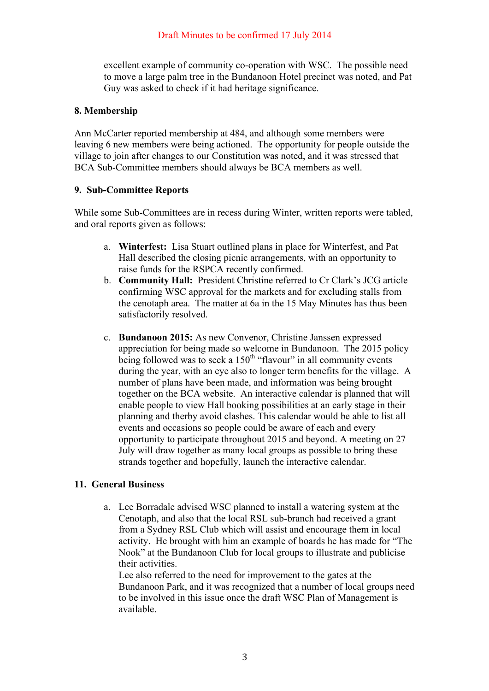excellent example of community co-operation with WSC. The possible need to move a large palm tree in the Bundanoon Hotel precinct was noted, and Pat Guy was asked to check if it had heritage significance.

## **8. Membership**

Ann McCarter reported membership at 484, and although some members were leaving 6 new members were being actioned. The opportunity for people outside the village to join after changes to our Constitution was noted, and it was stressed that BCA Sub-Committee members should always be BCA members as well.

### **9. Sub-Committee Reports**

While some Sub-Committees are in recess during Winter, written reports were tabled, and oral reports given as follows:

- a. **Winterfest:** Lisa Stuart outlined plans in place for Winterfest, and Pat Hall described the closing picnic arrangements, with an opportunity to raise funds for the RSPCA recently confirmed.
- b. **Community Hall:** President Christine referred to Cr Clark's JCG article confirming WSC approval for the markets and for excluding stalls from the cenotaph area. The matter at 6a in the 15 May Minutes has thus been satisfactorily resolved.
- c. **Bundanoon 2015:** As new Convenor, Christine Janssen expressed appreciation for being made so welcome in Bundanoon. The 2015 policy being followed was to seek a  $150<sup>th</sup>$  "flavour" in all community events during the year, with an eye also to longer term benefits for the village. A number of plans have been made, and information was being brought together on the BCA website. An interactive calendar is planned that will enable people to view Hall booking possibilities at an early stage in their planning and therby avoid clashes. This calendar would be able to list all events and occasions so people could be aware of each and every opportunity to participate throughout 2015 and beyond. A meeting on 27 July will draw together as many local groups as possible to bring these strands together and hopefully, launch the interactive calendar.

## **11. General Business**

a. Lee Borradale advised WSC planned to install a watering system at the Cenotaph, and also that the local RSL sub-branch had received a grant from a Sydney RSL Club which will assist and encourage them in local activity. He brought with him an example of boards he has made for "The Nook" at the Bundanoon Club for local groups to illustrate and publicise their activities.

Lee also referred to the need for improvement to the gates at the Bundanoon Park, and it was recognized that a number of local groups need to be involved in this issue once the draft WSC Plan of Management is available.